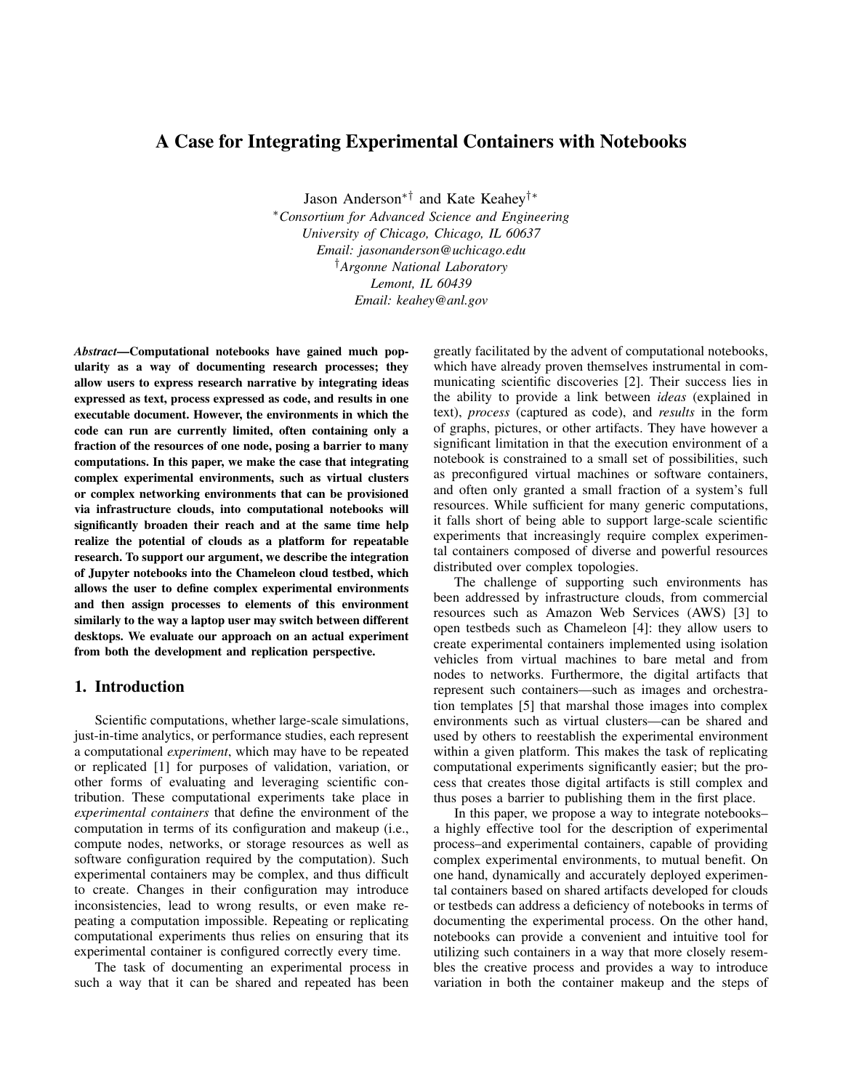# A Case for Integrating Experimental Containers with Notebooks

Jason Anderson∗† and Kate Keahey†∗

<sup>∗</sup>*Consortium for Advanced Science and Engineering University of Chicago, Chicago, IL 60637 Email: jasonanderson@uchicago.edu* †*Argonne National Laboratory Lemont, IL 60439 Email: keahey@anl.gov*

*Abstract*—Computational notebooks have gained much popularity as a way of documenting research processes; they allow users to express research narrative by integrating ideas expressed as text, process expressed as code, and results in one executable document. However, the environments in which the code can run are currently limited, often containing only a fraction of the resources of one node, posing a barrier to many computations. In this paper, we make the case that integrating complex experimental environments, such as virtual clusters or complex networking environments that can be provisioned via infrastructure clouds, into computational notebooks will significantly broaden their reach and at the same time help realize the potential of clouds as a platform for repeatable research. To support our argument, we describe the integration of Jupyter notebooks into the Chameleon cloud testbed, which allows the user to define complex experimental environments and then assign processes to elements of this environment similarly to the way a laptop user may switch between different desktops. We evaluate our approach on an actual experiment from both the development and replication perspective.

### 1. Introduction

Scientific computations, whether large-scale simulations, just-in-time analytics, or performance studies, each represent a computational *experiment*, which may have to be repeated or replicated [1] for purposes of validation, variation, or other forms of evaluating and leveraging scientific contribution. These computational experiments take place in *experimental containers* that define the environment of the computation in terms of its configuration and makeup (i.e., compute nodes, networks, or storage resources as well as software configuration required by the computation). Such experimental containers may be complex, and thus difficult to create. Changes in their configuration may introduce inconsistencies, lead to wrong results, or even make repeating a computation impossible. Repeating or replicating computational experiments thus relies on ensuring that its experimental container is configured correctly every time.

The task of documenting an experimental process in such a way that it can be shared and repeated has been greatly facilitated by the advent of computational notebooks, which have already proven themselves instrumental in communicating scientific discoveries [2]. Their success lies in the ability to provide a link between *ideas* (explained in text), *process* (captured as code), and *results* in the form of graphs, pictures, or other artifacts. They have however a significant limitation in that the execution environment of a notebook is constrained to a small set of possibilities, such as preconfigured virtual machines or software containers, and often only granted a small fraction of a system's full resources. While sufficient for many generic computations, it falls short of being able to support large-scale scientific experiments that increasingly require complex experimental containers composed of diverse and powerful resources distributed over complex topologies.

The challenge of supporting such environments has been addressed by infrastructure clouds, from commercial resources such as Amazon Web Services (AWS) [3] to open testbeds such as Chameleon [4]: they allow users to create experimental containers implemented using isolation vehicles from virtual machines to bare metal and from nodes to networks. Furthermore, the digital artifacts that represent such containers—such as images and orchestration templates [5] that marshal those images into complex environments such as virtual clusters—can be shared and used by others to reestablish the experimental environment within a given platform. This makes the task of replicating computational experiments significantly easier; but the process that creates those digital artifacts is still complex and thus poses a barrier to publishing them in the first place.

In this paper, we propose a way to integrate notebooks– a highly effective tool for the description of experimental process–and experimental containers, capable of providing complex experimental environments, to mutual benefit. On one hand, dynamically and accurately deployed experimental containers based on shared artifacts developed for clouds or testbeds can address a deficiency of notebooks in terms of documenting the experimental process. On the other hand, notebooks can provide a convenient and intuitive tool for utilizing such containers in a way that more closely resembles the creative process and provides a way to introduce variation in both the container makeup and the steps of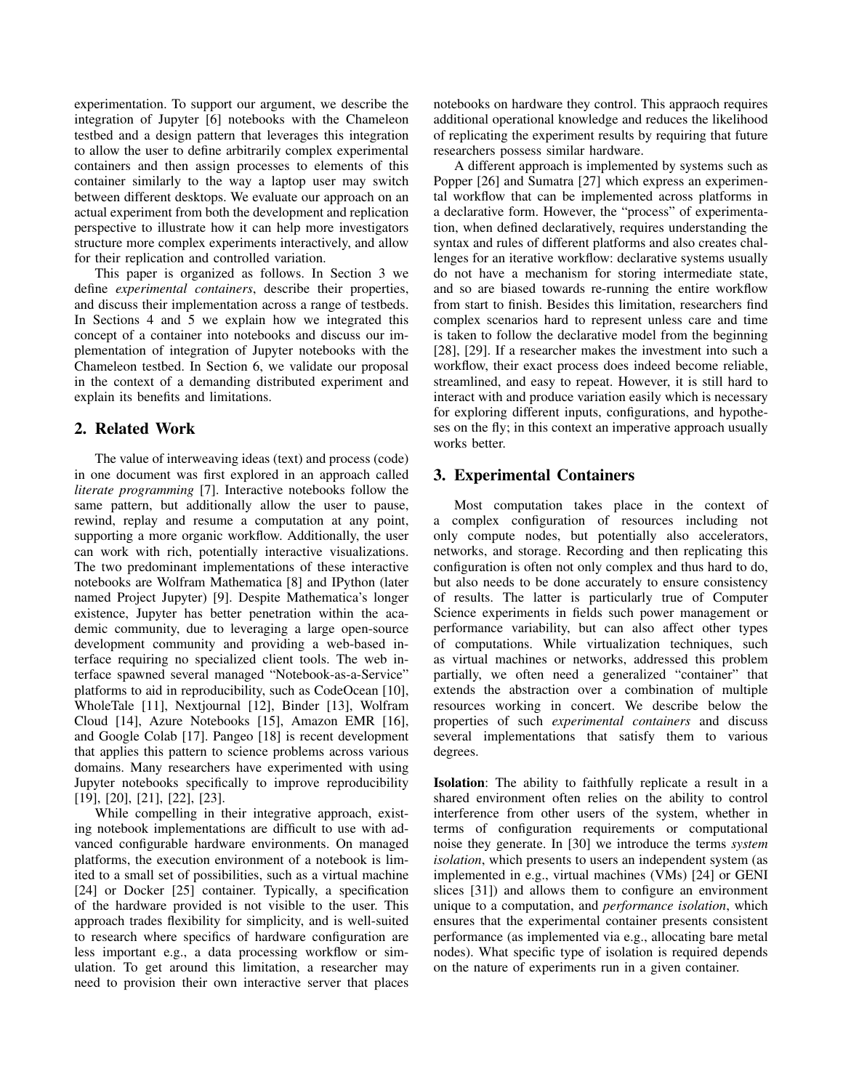experimentation. To support our argument, we describe the integration of Jupyter [6] notebooks with the Chameleon testbed and a design pattern that leverages this integration to allow the user to define arbitrarily complex experimental containers and then assign processes to elements of this container similarly to the way a laptop user may switch between different desktops. We evaluate our approach on an actual experiment from both the development and replication perspective to illustrate how it can help more investigators structure more complex experiments interactively, and allow for their replication and controlled variation.

This paper is organized as follows. In Section 3 we define *experimental containers*, describe their properties, and discuss their implementation across a range of testbeds. In Sections 4 and 5 we explain how we integrated this concept of a container into notebooks and discuss our implementation of integration of Jupyter notebooks with the Chameleon testbed. In Section 6, we validate our proposal in the context of a demanding distributed experiment and explain its benefits and limitations.

## 2. Related Work

The value of interweaving ideas (text) and process (code) in one document was first explored in an approach called *literate programming* [7]. Interactive notebooks follow the same pattern, but additionally allow the user to pause, rewind, replay and resume a computation at any point, supporting a more organic workflow. Additionally, the user can work with rich, potentially interactive visualizations. The two predominant implementations of these interactive notebooks are Wolfram Mathematica [8] and IPython (later named Project Jupyter) [9]. Despite Mathematica's longer existence, Jupyter has better penetration within the academic community, due to leveraging a large open-source development community and providing a web-based interface requiring no specialized client tools. The web interface spawned several managed "Notebook-as-a-Service" platforms to aid in reproducibility, such as CodeOcean [10], WholeTale [11], Nextjournal [12], Binder [13], Wolfram Cloud [14], Azure Notebooks [15], Amazon EMR [16], and Google Colab [17]. Pangeo [18] is recent development that applies this pattern to science problems across various domains. Many researchers have experimented with using Jupyter notebooks specifically to improve reproducibility [19], [20], [21], [22], [23].

While compelling in their integrative approach, existing notebook implementations are difficult to use with advanced configurable hardware environments. On managed platforms, the execution environment of a notebook is limited to a small set of possibilities, such as a virtual machine [24] or Docker [25] container. Typically, a specification of the hardware provided is not visible to the user. This approach trades flexibility for simplicity, and is well-suited to research where specifics of hardware configuration are less important e.g., a data processing workflow or simulation. To get around this limitation, a researcher may need to provision their own interactive server that places notebooks on hardware they control. This appraoch requires additional operational knowledge and reduces the likelihood of replicating the experiment results by requiring that future researchers possess similar hardware.

A different approach is implemented by systems such as Popper [26] and Sumatra [27] which express an experimental workflow that can be implemented across platforms in a declarative form. However, the "process" of experimentation, when defined declaratively, requires understanding the syntax and rules of different platforms and also creates challenges for an iterative workflow: declarative systems usually do not have a mechanism for storing intermediate state, and so are biased towards re-running the entire workflow from start to finish. Besides this limitation, researchers find complex scenarios hard to represent unless care and time is taken to follow the declarative model from the beginning [28], [29]. If a researcher makes the investment into such a workflow, their exact process does indeed become reliable, streamlined, and easy to repeat. However, it is still hard to interact with and produce variation easily which is necessary for exploring different inputs, configurations, and hypotheses on the fly; in this context an imperative approach usually works better.

# 3. Experimental Containers

Most computation takes place in the context of a complex configuration of resources including not only compute nodes, but potentially also accelerators, networks, and storage. Recording and then replicating this configuration is often not only complex and thus hard to do, but also needs to be done accurately to ensure consistency of results. The latter is particularly true of Computer Science experiments in fields such power management or performance variability, but can also affect other types of computations. While virtualization techniques, such as virtual machines or networks, addressed this problem partially, we often need a generalized "container" that extends the abstraction over a combination of multiple resources working in concert. We describe below the properties of such *experimental containers* and discuss several implementations that satisfy them to various degrees.

Isolation: The ability to faithfully replicate a result in a shared environment often relies on the ability to control interference from other users of the system, whether in terms of configuration requirements or computational noise they generate. In [30] we introduce the terms *system isolation*, which presents to users an independent system (as implemented in e.g., virtual machines (VMs) [24] or GENI slices [31]) and allows them to configure an environment unique to a computation, and *performance isolation*, which ensures that the experimental container presents consistent performance (as implemented via e.g., allocating bare metal nodes). What specific type of isolation is required depends on the nature of experiments run in a given container.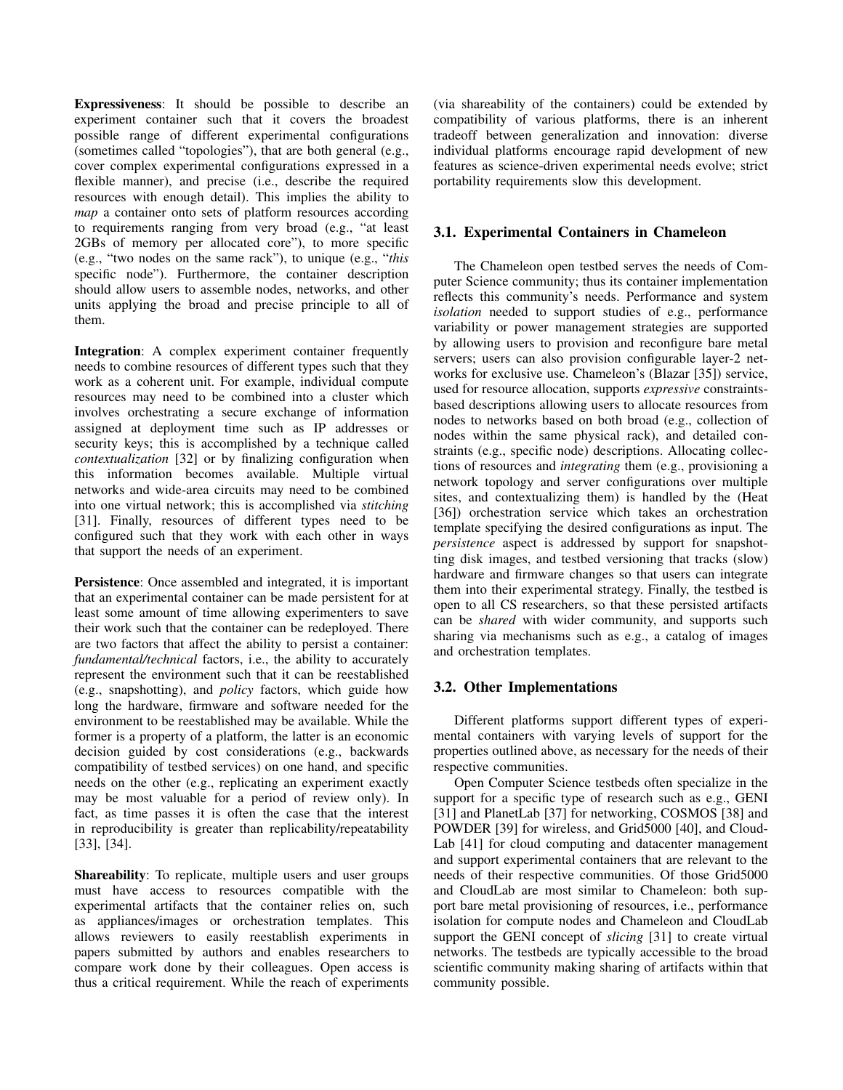Expressiveness: It should be possible to describe an experiment container such that it covers the broadest possible range of different experimental configurations (sometimes called "topologies"), that are both general (e.g., cover complex experimental configurations expressed in a flexible manner), and precise (i.e., describe the required resources with enough detail). This implies the ability to *map* a container onto sets of platform resources according to requirements ranging from very broad (e.g., "at least 2GBs of memory per allocated core"), to more specific (e.g., "two nodes on the same rack"), to unique (e.g., "*this* specific node"). Furthermore, the container description should allow users to assemble nodes, networks, and other units applying the broad and precise principle to all of them.

Integration: A complex experiment container frequently needs to combine resources of different types such that they work as a coherent unit. For example, individual compute resources may need to be combined into a cluster which involves orchestrating a secure exchange of information assigned at deployment time such as IP addresses or security keys; this is accomplished by a technique called *contextualization* [32] or by finalizing configuration when this information becomes available. Multiple virtual networks and wide-area circuits may need to be combined into one virtual network; this is accomplished via *stitching* [31]. Finally, resources of different types need to be configured such that they work with each other in ways that support the needs of an experiment.

Persistence: Once assembled and integrated, it is important that an experimental container can be made persistent for at least some amount of time allowing experimenters to save their work such that the container can be redeployed. There are two factors that affect the ability to persist a container: *fundamental/technical* factors, i.e., the ability to accurately represent the environment such that it can be reestablished (e.g., snapshotting), and *policy* factors, which guide how long the hardware, firmware and software needed for the environment to be reestablished may be available. While the former is a property of a platform, the latter is an economic decision guided by cost considerations (e.g., backwards compatibility of testbed services) on one hand, and specific needs on the other (e.g., replicating an experiment exactly may be most valuable for a period of review only). In fact, as time passes it is often the case that the interest in reproducibility is greater than replicability/repeatability [33], [34].

Shareability: To replicate, multiple users and user groups must have access to resources compatible with the experimental artifacts that the container relies on, such as appliances/images or orchestration templates. This allows reviewers to easily reestablish experiments in papers submitted by authors and enables researchers to compare work done by their colleagues. Open access is thus a critical requirement. While the reach of experiments

(via shareability of the containers) could be extended by compatibility of various platforms, there is an inherent tradeoff between generalization and innovation: diverse individual platforms encourage rapid development of new features as science-driven experimental needs evolve; strict portability requirements slow this development.

#### 3.1. Experimental Containers in Chameleon

The Chameleon open testbed serves the needs of Computer Science community; thus its container implementation reflects this community's needs. Performance and system *isolation* needed to support studies of e.g., performance variability or power management strategies are supported by allowing users to provision and reconfigure bare metal servers; users can also provision configurable layer-2 networks for exclusive use. Chameleon's (Blazar [35]) service, used for resource allocation, supports *expressive* constraintsbased descriptions allowing users to allocate resources from nodes to networks based on both broad (e.g., collection of nodes within the same physical rack), and detailed constraints (e.g., specific node) descriptions. Allocating collections of resources and *integrating* them (e.g., provisioning a network topology and server configurations over multiple sites, and contextualizing them) is handled by the (Heat [36]) orchestration service which takes an orchestration template specifying the desired configurations as input. The *persistence* aspect is addressed by support for snapshotting disk images, and testbed versioning that tracks (slow) hardware and firmware changes so that users can integrate them into their experimental strategy. Finally, the testbed is open to all CS researchers, so that these persisted artifacts can be *shared* with wider community, and supports such sharing via mechanisms such as e.g., a catalog of images and orchestration templates.

## 3.2. Other Implementations

Different platforms support different types of experimental containers with varying levels of support for the properties outlined above, as necessary for the needs of their respective communities.

Open Computer Science testbeds often specialize in the support for a specific type of research such as e.g., GENI [31] and PlanetLab [37] for networking, COSMOS [38] and POWDER [39] for wireless, and Grid5000 [40], and Cloud-Lab [41] for cloud computing and datacenter management and support experimental containers that are relevant to the needs of their respective communities. Of those Grid5000 and CloudLab are most similar to Chameleon: both support bare metal provisioning of resources, i.e., performance isolation for compute nodes and Chameleon and CloudLab support the GENI concept of *slicing* [31] to create virtual networks. The testbeds are typically accessible to the broad scientific community making sharing of artifacts within that community possible.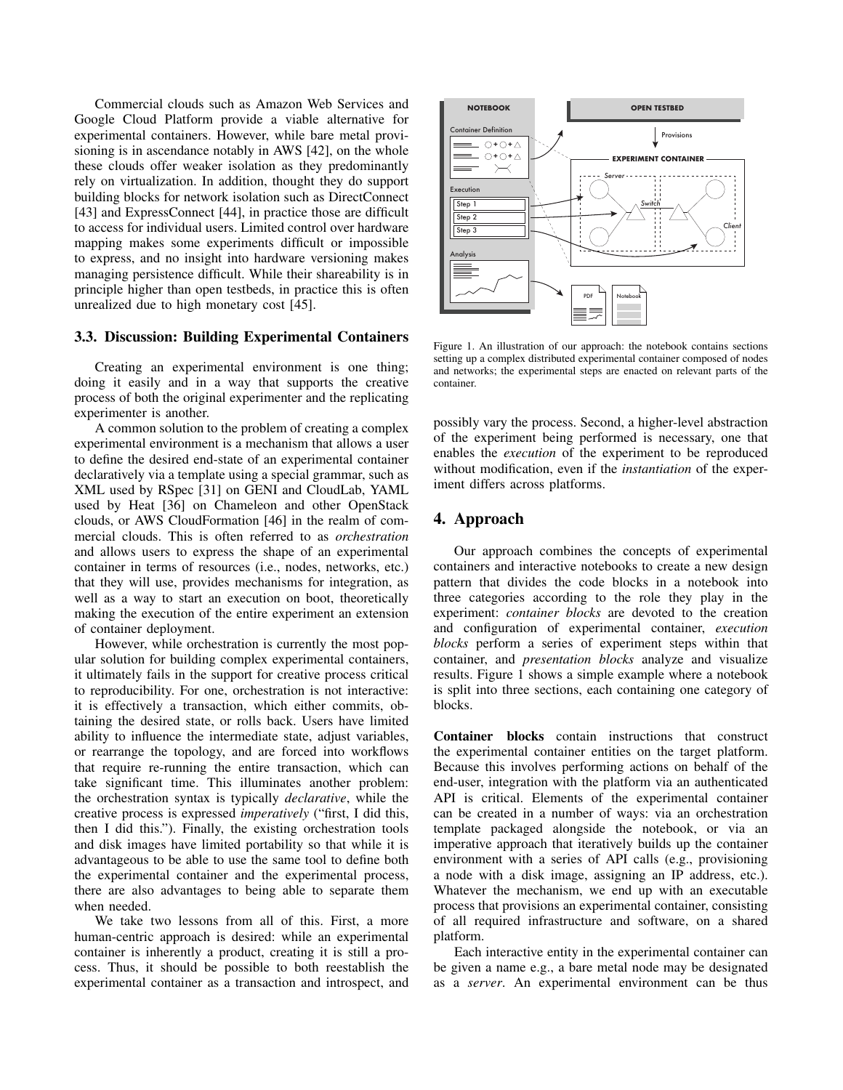Commercial clouds such as Amazon Web Services and Google Cloud Platform provide a viable alternative for experimental containers. However, while bare metal provisioning is in ascendance notably in AWS [42], on the whole these clouds offer weaker isolation as they predominantly rely on virtualization. In addition, thought they do support building blocks for network isolation such as DirectConnect [43] and ExpressConnect [44], in practice those are difficult to access for individual users. Limited control over hardware mapping makes some experiments difficult or impossible to express, and no insight into hardware versioning makes managing persistence difficult. While their shareability is in principle higher than open testbeds, in practice this is often unrealized due to high monetary cost [45].

#### 3.3. Discussion: Building Experimental Containers

Creating an experimental environment is one thing; doing it easily and in a way that supports the creative process of both the original experimenter and the replicating experimenter is another.

A common solution to the problem of creating a complex experimental environment is a mechanism that allows a user to define the desired end-state of an experimental container declaratively via a template using a special grammar, such as XML used by RSpec [31] on GENI and CloudLab, YAML used by Heat [36] on Chameleon and other OpenStack clouds, or AWS CloudFormation [46] in the realm of commercial clouds. This is often referred to as *orchestration* and allows users to express the shape of an experimental container in terms of resources (i.e., nodes, networks, etc.) that they will use, provides mechanisms for integration, as well as a way to start an execution on boot, theoretically making the execution of the entire experiment an extension of container deployment.

However, while orchestration is currently the most popular solution for building complex experimental containers, it ultimately fails in the support for creative process critical to reproducibility. For one, orchestration is not interactive: it is effectively a transaction, which either commits, obtaining the desired state, or rolls back. Users have limited ability to influence the intermediate state, adjust variables, or rearrange the topology, and are forced into workflows that require re-running the entire transaction, which can take significant time. This illuminates another problem: the orchestration syntax is typically *declarative*, while the creative process is expressed *imperatively* ("first, I did this, then I did this."). Finally, the existing orchestration tools and disk images have limited portability so that while it is advantageous to be able to use the same tool to define both the experimental container and the experimental process, there are also advantages to being able to separate them when needed.

We take two lessons from all of this. First, a more human-centric approach is desired: while an experimental container is inherently a product, creating it is still a process. Thus, it should be possible to both reestablish the experimental container as a transaction and introspect, and



Figure 1. An illustration of our approach: the notebook contains sections setting up a complex distributed experimental container composed of nodes and networks; the experimental steps are enacted on relevant parts of the container.

possibly vary the process. Second, a higher-level abstraction of the experiment being performed is necessary, one that enables the *execution* of the experiment to be reproduced without modification, even if the *instantiation* of the experiment differs across platforms.

### 4. Approach

Our approach combines the concepts of experimental containers and interactive notebooks to create a new design pattern that divides the code blocks in a notebook into three categories according to the role they play in the experiment: *container blocks* are devoted to the creation and configuration of experimental container, *execution blocks* perform a series of experiment steps within that container, and *presentation blocks* analyze and visualize results. Figure 1 shows a simple example where a notebook is split into three sections, each containing one category of blocks.

Container blocks contain instructions that construct the experimental container entities on the target platform. Because this involves performing actions on behalf of the end-user, integration with the platform via an authenticated API is critical. Elements of the experimental container can be created in a number of ways: via an orchestration template packaged alongside the notebook, or via an imperative approach that iteratively builds up the container environment with a series of API calls (e.g., provisioning a node with a disk image, assigning an IP address, etc.). Whatever the mechanism, we end up with an executable process that provisions an experimental container, consisting of all required infrastructure and software, on a shared platform.

Each interactive entity in the experimental container can be given a name e.g., a bare metal node may be designated as a *server*. An experimental environment can be thus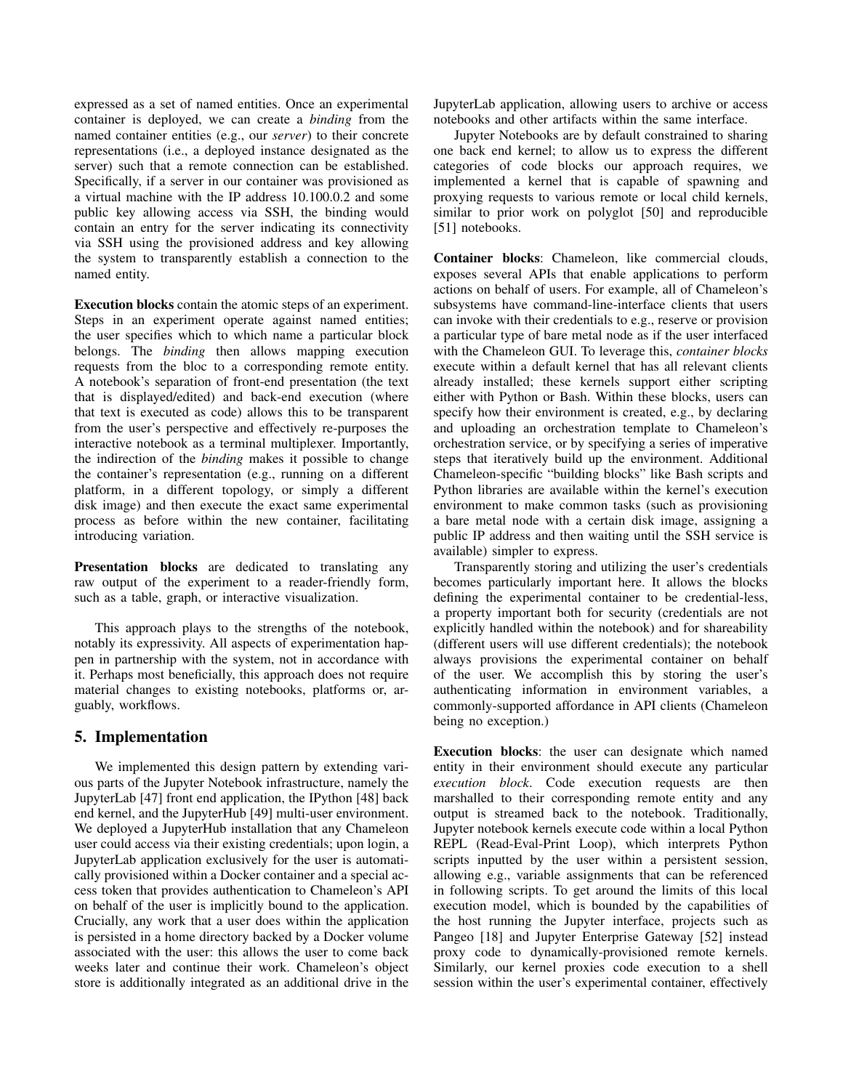expressed as a set of named entities. Once an experimental container is deployed, we can create a *binding* from the named container entities (e.g., our *server*) to their concrete representations (i.e., a deployed instance designated as the server) such that a remote connection can be established. Specifically, if a server in our container was provisioned as a virtual machine with the IP address 10.100.0.2 and some public key allowing access via SSH, the binding would contain an entry for the server indicating its connectivity via SSH using the provisioned address and key allowing the system to transparently establish a connection to the named entity.

Execution blocks contain the atomic steps of an experiment. Steps in an experiment operate against named entities; the user specifies which to which name a particular block belongs. The *binding* then allows mapping execution requests from the bloc to a corresponding remote entity. A notebook's separation of front-end presentation (the text that is displayed/edited) and back-end execution (where that text is executed as code) allows this to be transparent from the user's perspective and effectively re-purposes the interactive notebook as a terminal multiplexer. Importantly, the indirection of the *binding* makes it possible to change the container's representation (e.g., running on a different platform, in a different topology, or simply a different disk image) and then execute the exact same experimental process as before within the new container, facilitating introducing variation.

Presentation blocks are dedicated to translating any raw output of the experiment to a reader-friendly form, such as a table, graph, or interactive visualization.

This approach plays to the strengths of the notebook, notably its expressivity. All aspects of experimentation happen in partnership with the system, not in accordance with it. Perhaps most beneficially, this approach does not require material changes to existing notebooks, platforms or, arguably, workflows.

# 5. Implementation

We implemented this design pattern by extending various parts of the Jupyter Notebook infrastructure, namely the JupyterLab [47] front end application, the IPython [48] back end kernel, and the JupyterHub [49] multi-user environment. We deployed a JupyterHub installation that any Chameleon user could access via their existing credentials; upon login, a JupyterLab application exclusively for the user is automatically provisioned within a Docker container and a special access token that provides authentication to Chameleon's API on behalf of the user is implicitly bound to the application. Crucially, any work that a user does within the application is persisted in a home directory backed by a Docker volume associated with the user: this allows the user to come back weeks later and continue their work. Chameleon's object store is additionally integrated as an additional drive in the JupyterLab application, allowing users to archive or access notebooks and other artifacts within the same interface.

Jupyter Notebooks are by default constrained to sharing one back end kernel; to allow us to express the different categories of code blocks our approach requires, we implemented a kernel that is capable of spawning and proxying requests to various remote or local child kernels, similar to prior work on polyglot [50] and reproducible [51] notebooks.

Container blocks: Chameleon, like commercial clouds, exposes several APIs that enable applications to perform actions on behalf of users. For example, all of Chameleon's subsystems have command-line-interface clients that users can invoke with their credentials to e.g., reserve or provision a particular type of bare metal node as if the user interfaced with the Chameleon GUI. To leverage this, *container blocks* execute within a default kernel that has all relevant clients already installed; these kernels support either scripting either with Python or Bash. Within these blocks, users can specify how their environment is created, e.g., by declaring and uploading an orchestration template to Chameleon's orchestration service, or by specifying a series of imperative steps that iteratively build up the environment. Additional Chameleon-specific "building blocks" like Bash scripts and Python libraries are available within the kernel's execution environment to make common tasks (such as provisioning a bare metal node with a certain disk image, assigning a public IP address and then waiting until the SSH service is available) simpler to express.

Transparently storing and utilizing the user's credentials becomes particularly important here. It allows the blocks defining the experimental container to be credential-less, a property important both for security (credentials are not explicitly handled within the notebook) and for shareability (different users will use different credentials); the notebook always provisions the experimental container on behalf of the user. We accomplish this by storing the user's authenticating information in environment variables, a commonly-supported affordance in API clients (Chameleon being no exception.)

Execution blocks: the user can designate which named entity in their environment should execute any particular *execution block*. Code execution requests are then marshalled to their corresponding remote entity and any output is streamed back to the notebook. Traditionally, Jupyter notebook kernels execute code within a local Python REPL (Read-Eval-Print Loop), which interprets Python scripts inputted by the user within a persistent session, allowing e.g., variable assignments that can be referenced in following scripts. To get around the limits of this local execution model, which is bounded by the capabilities of the host running the Jupyter interface, projects such as Pangeo [18] and Jupyter Enterprise Gateway [52] instead proxy code to dynamically-provisioned remote kernels. Similarly, our kernel proxies code execution to a shell session within the user's experimental container, effectively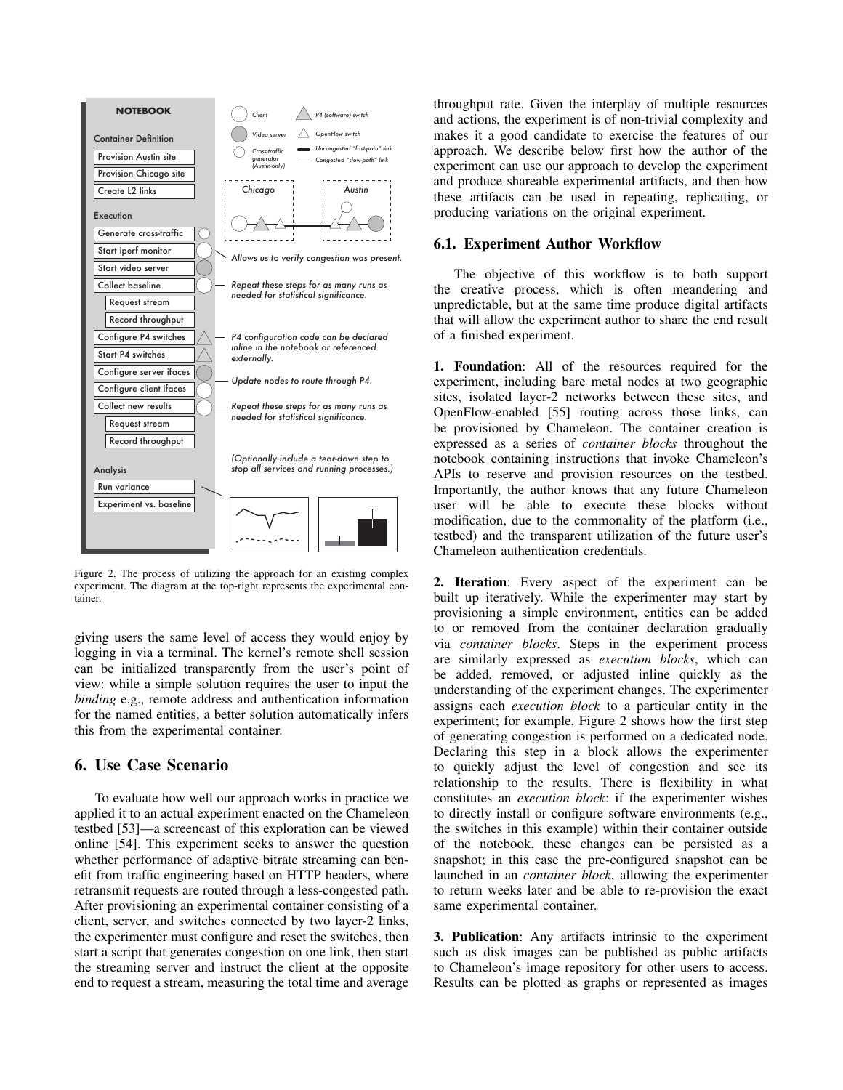

Figure 2. The process of utilizing the approach for an existing complex experiment. The diagram at the top-right represents the experimental container.

giving users the same level of access they would enjoy by logging in via a terminal. The kernel's remote shell session can be initialized transparently from the user's point of view: while a simple solution requires the user to input the *binding* e.g., remote address and authentication information for the named entities, a better solution automatically infers this from the experimental container.

## 6. Use Case Scenario

To evaluate how well our approach works in practice we applied it to an actual experiment enacted on the Chameleon testbed [53]—a screencast of this exploration can be viewed online [54]. This experiment seeks to answer the question whether performance of adaptive bitrate streaming can benefit from traffic engineering based on HTTP headers, where retransmit requests are routed through a less-congested path. After provisioning an experimental container consisting of a client, server, and switches connected by two layer-2 links, the experimenter must configure and reset the switches, then start a script that generates congestion on one link, then start the streaming server and instruct the client at the opposite end to request a stream, measuring the total time and average throughput rate. Given the interplay of multiple resources and actions, the experiment is of non-trivial complexity and makes it a good candidate to exercise the features of our approach. We describe below first how the author of the experiment can use our approach to develop the experiment and produce shareable experimental artifacts, and then how these artifacts can be used in repeating, replicating, or producing variations on the original experiment.

#### 6.1. Experiment Author Workflow

The objective of this workflow is to both support the creative process, which is often meandering and unpredictable, but at the same time produce digital artifacts that will allow the experiment author to share the end result of a finished experiment.

1. Foundation: All of the resources required for the experiment, including bare metal nodes at two geographic sites, isolated layer-2 networks between these sites, and OpenFlow-enabled [55] routing across those links, can be provisioned by Chameleon. The container creation is expressed as a series of *container blocks* throughout the notebook containing instructions that invoke Chameleon's APIs to reserve and provision resources on the testbed. Importantly, the author knows that any future Chameleon user will be able to execute these blocks without modification, due to the commonality of the platform (i.e., testbed) and the transparent utilization of the future user's Chameleon authentication credentials.

2. Iteration: Every aspect of the experiment can be built up iteratively. While the experimenter may start by provisioning a simple environment, entities can be added to or removed from the container declaration gradually via *container blocks*. Steps in the experiment process are similarly expressed as *execution blocks*, which can be added, removed, or adjusted inline quickly as the understanding of the experiment changes. The experimenter assigns each *execution block* to a particular entity in the experiment; for example, Figure 2 shows how the first step of generating congestion is performed on a dedicated node. Declaring this step in a block allows the experimenter to quickly adjust the level of congestion and see its relationship to the results. There is flexibility in what constitutes an *execution block*: if the experimenter wishes to directly install or configure software environments (e.g., the switches in this example) within their container outside of the notebook, these changes can be persisted as a snapshot; in this case the pre-configured snapshot can be launched in an *container block*, allowing the experimenter to return weeks later and be able to re-provision the exact same experimental container.

3. Publication: Any artifacts intrinsic to the experiment such as disk images can be published as public artifacts to Chameleon's image repository for other users to access. Results can be plotted as graphs or represented as images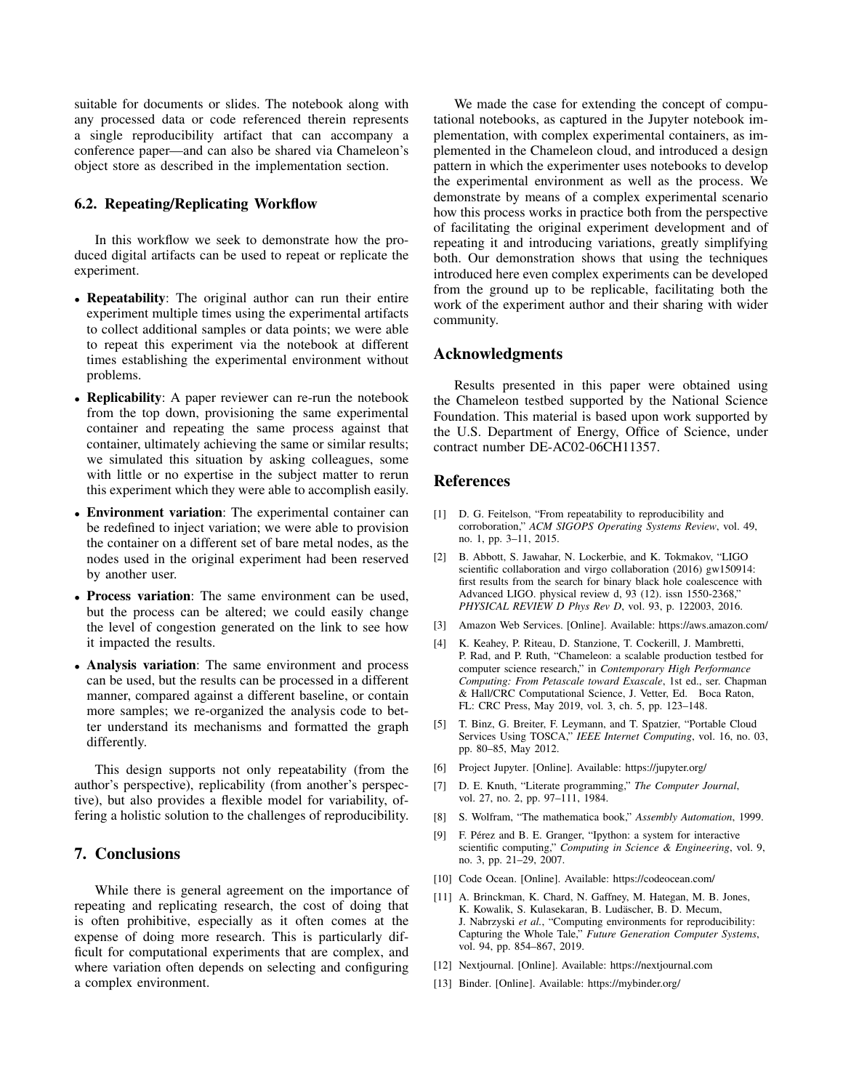suitable for documents or slides. The notebook along with any processed data or code referenced therein represents a single reproducibility artifact that can accompany a conference paper—and can also be shared via Chameleon's object store as described in the implementation section.

## 6.2. Repeating/Replicating Workflow

In this workflow we seek to demonstrate how the produced digital artifacts can be used to repeat or replicate the experiment.

- Repeatability: The original author can run their entire experiment multiple times using the experimental artifacts to collect additional samples or data points; we were able to repeat this experiment via the notebook at different times establishing the experimental environment without problems.
- **Replicability**: A paper reviewer can re-run the notebook from the top down, provisioning the same experimental container and repeating the same process against that container, ultimately achieving the same or similar results; we simulated this situation by asking colleagues, some with little or no expertise in the subject matter to rerun this experiment which they were able to accomplish easily.
- Environment variation: The experimental container can be redefined to inject variation; we were able to provision the container on a different set of bare metal nodes, as the nodes used in the original experiment had been reserved by another user.
- Process variation: The same environment can be used, but the process can be altered; we could easily change the level of congestion generated on the link to see how it impacted the results.
- Analysis variation: The same environment and process can be used, but the results can be processed in a different manner, compared against a different baseline, or contain more samples; we re-organized the analysis code to better understand its mechanisms and formatted the graph differently.

This design supports not only repeatability (from the author's perspective), replicability (from another's perspective), but also provides a flexible model for variability, offering a holistic solution to the challenges of reproducibility.

## 7. Conclusions

While there is general agreement on the importance of repeating and replicating research, the cost of doing that is often prohibitive, especially as it often comes at the expense of doing more research. This is particularly difficult for computational experiments that are complex, and where variation often depends on selecting and configuring a complex environment.

We made the case for extending the concept of computational notebooks, as captured in the Jupyter notebook implementation, with complex experimental containers, as implemented in the Chameleon cloud, and introduced a design pattern in which the experimenter uses notebooks to develop the experimental environment as well as the process. We demonstrate by means of a complex experimental scenario how this process works in practice both from the perspective of facilitating the original experiment development and of repeating it and introducing variations, greatly simplifying both. Our demonstration shows that using the techniques introduced here even complex experiments can be developed from the ground up to be replicable, facilitating both the work of the experiment author and their sharing with wider community.

### Acknowledgments

Results presented in this paper were obtained using the Chameleon testbed supported by the National Science Foundation. This material is based upon work supported by the U.S. Department of Energy, Office of Science, under contract number DE-AC02-06CH11357.

## References

- [1] D. G. Feitelson, "From repeatability to reproducibility and corroboration," *ACM SIGOPS Operating Systems Review*, vol. 49, no. 1, pp. 3–11, 2015.
- [2] B. Abbott, S. Jawahar, N. Lockerbie, and K. Tokmakov, "LIGO scientific collaboration and virgo collaboration (2016) gw150914: first results from the search for binary black hole coalescence with Advanced LIGO. physical review d, 93 (12). issn 1550-2368," *PHYSICAL REVIEW D Phys Rev D*, vol. 93, p. 122003, 2016.
- [3] Amazon Web Services. [Online]. Available: https://aws.amazon.com/
- [4] K. Keahey, P. Riteau, D. Stanzione, T. Cockerill, J. Mambretti, P. Rad, and P. Ruth, "Chameleon: a scalable production testbed for computer science research," in *Contemporary High Performance Computing: From Petascale toward Exascale*, 1st ed., ser. Chapman & Hall/CRC Computational Science, J. Vetter, Ed. Boca Raton, FL: CRC Press, May 2019, vol. 3, ch. 5, pp. 123–148.
- [5] T. Binz, G. Breiter, F. Leymann, and T. Spatzier, "Portable Cloud Services Using TOSCA," *IEEE Internet Computing*, vol. 16, no. 03, pp. 80–85, May 2012.
- [6] Project Jupyter. [Online]. Available: https://jupyter.org/
- [7] D. E. Knuth, "Literate programming," *The Computer Journal*, vol. 27, no. 2, pp. 97–111, 1984.
- [8] S. Wolfram, "The mathematica book," *Assembly Automation*, 1999.
- [9] F. Pérez and B. E. Granger, "Ipython: a system for interactive scientific computing," *Computing in Science & Engineering*, vol. 9, no. 3, pp. 21–29, 2007.
- [10] Code Ocean. [Online]. Available: https://codeocean.com/
- [11] A. Brinckman, K. Chard, N. Gaffney, M. Hategan, M. B. Jones, K. Kowalik, S. Kulasekaran, B. Ludäscher, B. D. Mecum, J. Nabrzyski *et al.*, "Computing environments for reproducibility: Capturing the Whole Tale," *Future Generation Computer Systems*, vol. 94, pp. 854–867, 2019.
- [12] Nextjournal. [Online]. Available: https://nextjournal.com
- [13] Binder. [Online]. Available: https://mybinder.org/